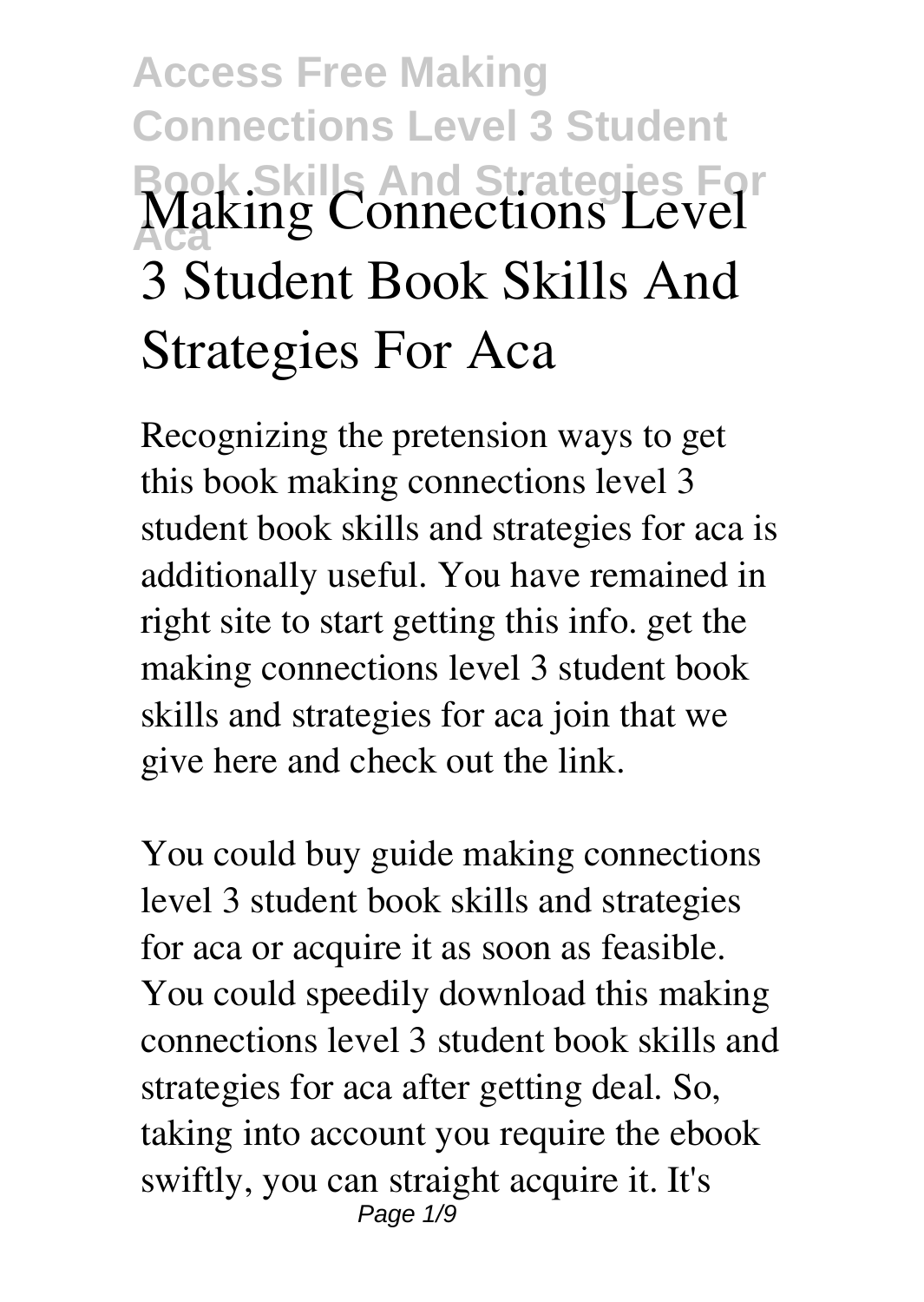## **Access Free Making Connections Level 3 Student Book Skills And Strategies For Aca Making Connections Level 3 Student Book Skills And Strategies For Aca**

Recognizing the pretension ways to get this book **making connections level 3 student book skills and strategies for aca** is additionally useful. You have remained in right site to start getting this info. get the making connections level 3 student book skills and strategies for aca join that we give here and check out the link.

You could buy guide making connections level 3 student book skills and strategies for aca or acquire it as soon as feasible. You could speedily download this making connections level 3 student book skills and strategies for aca after getting deal. So, taking into account you require the ebook swiftly, you can straight acquire it. It's Page  $1/9$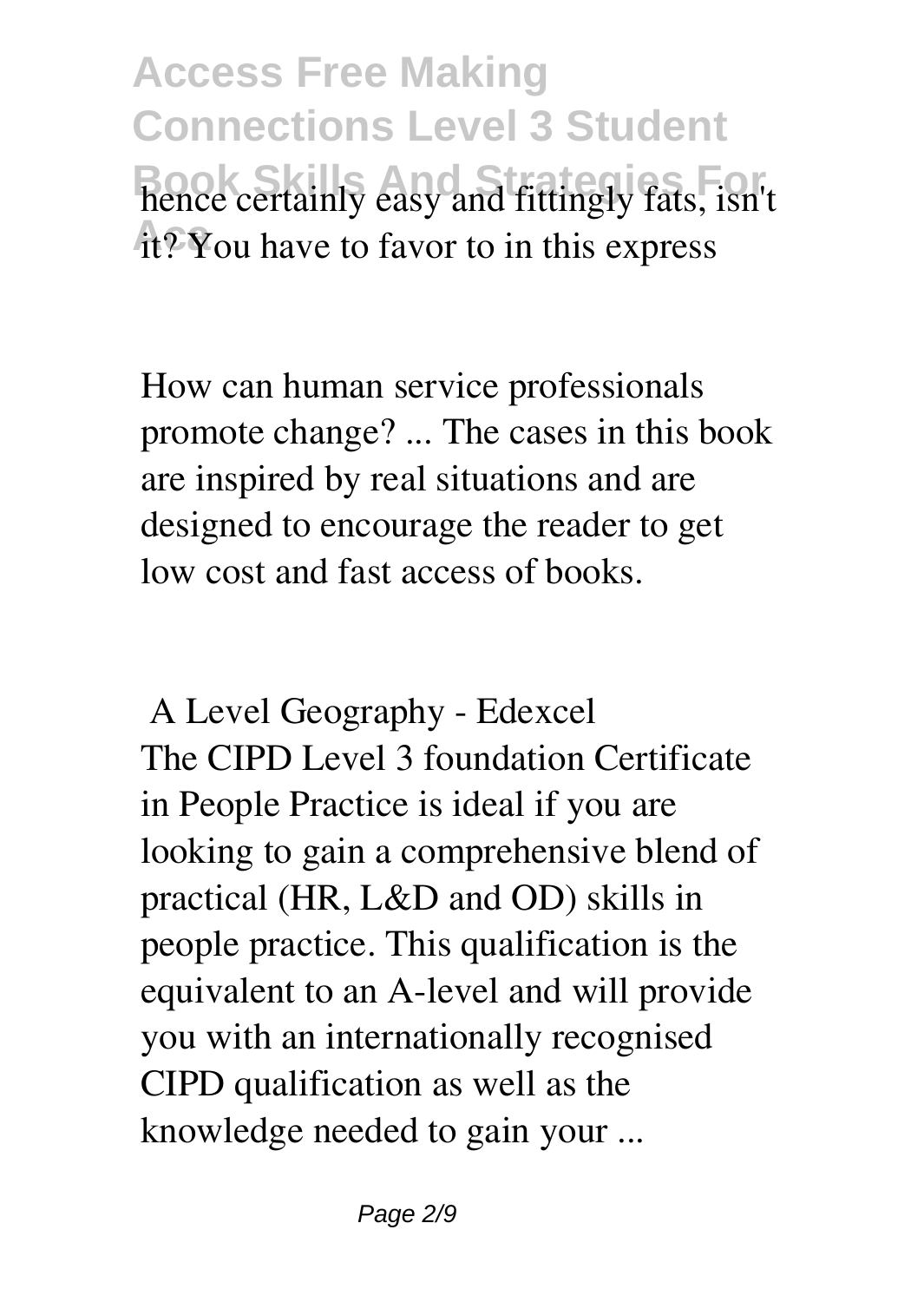**Access Free Making Connections Level 3 Student** hence certainly easy and fittingly fats, isn't **At?** You have to favor to in this express

How can human service professionals promote change? ... The cases in this book are inspired by real situations and are designed to encourage the reader to get low cost and fast access of books.

**A Level Geography - Edexcel** The CIPD Level 3 foundation Certificate in People Practice is ideal if you are looking to gain a comprehensive blend of practical (HR, L&D and OD) skills in people practice. This qualification is the equivalent to an A-level and will provide you with an internationally recognised CIPD qualification as well as the knowledge needed to gain your ...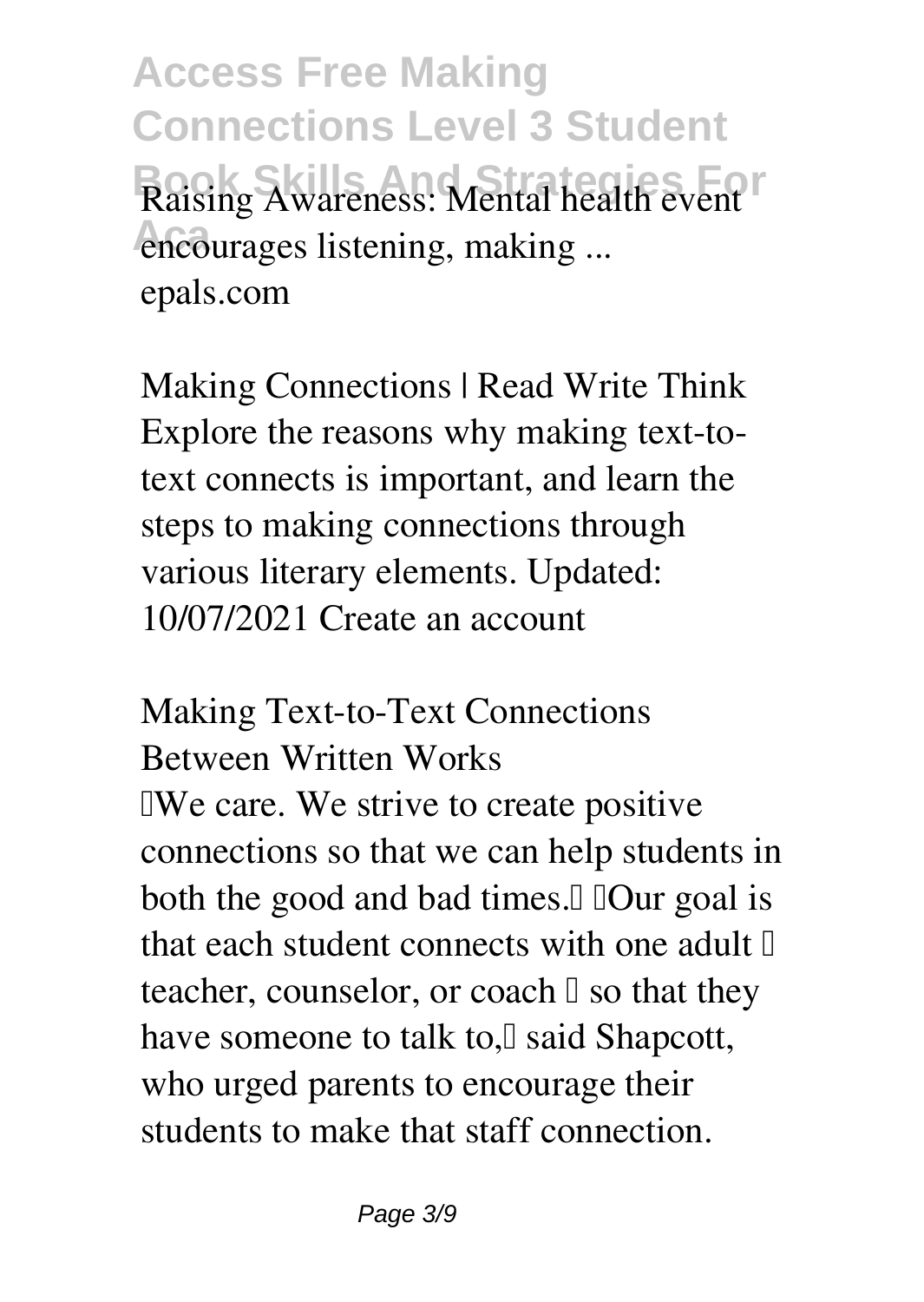**Access Free Making Connections Level 3 Student Raising Awareness: Mental health event Aca encourages listening, making ...** epals.com

**Making Connections | Read Write Think** Explore the reasons why making text-totext connects is important, and learn the steps to making connections through various literary elements. Updated: 10/07/2021 Create an account

**Making Text-to-Text Connections Between Written Works TWe care. We strive to create positive** connections so that we can help students in both the good and bad times. I IOur goal is that each student connects with one adult  $\mathbb I$ teacher, counselor, or coach  $\Box$  so that they have someone to talk to,<sup>[]</sup> said Shapcott, who urged parents to encourage their students to make that staff connection.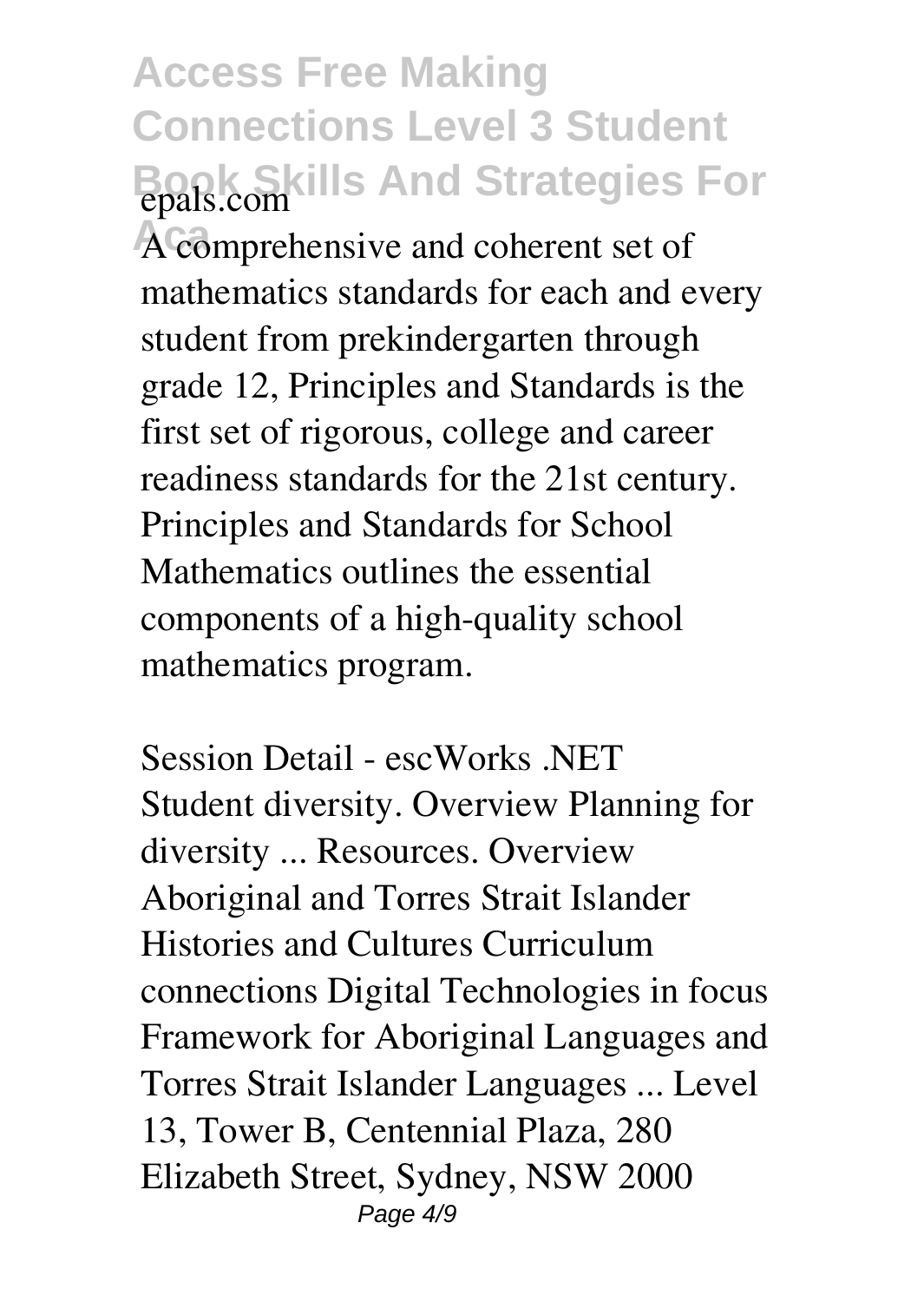**Access Free Making Connections Level 3 Student Book Skills And Strategies For epals.com**

**Aca** A comprehensive and coherent set of mathematics standards for each and every student from prekindergarten through grade 12, Principles and Standards is the first set of rigorous, college and career readiness standards for the 21st century. Principles and Standards for School Mathematics outlines the essential components of a high-quality school mathematics program.

**Session Detail - escWorks .NET** Student diversity. Overview Planning for diversity ... Resources. Overview Aboriginal and Torres Strait Islander Histories and Cultures Curriculum connections Digital Technologies in focus Framework for Aboriginal Languages and Torres Strait Islander Languages ... Level 13, Tower B, Centennial Plaza, 280 Elizabeth Street, Sydney, NSW 2000 Page  $4/9$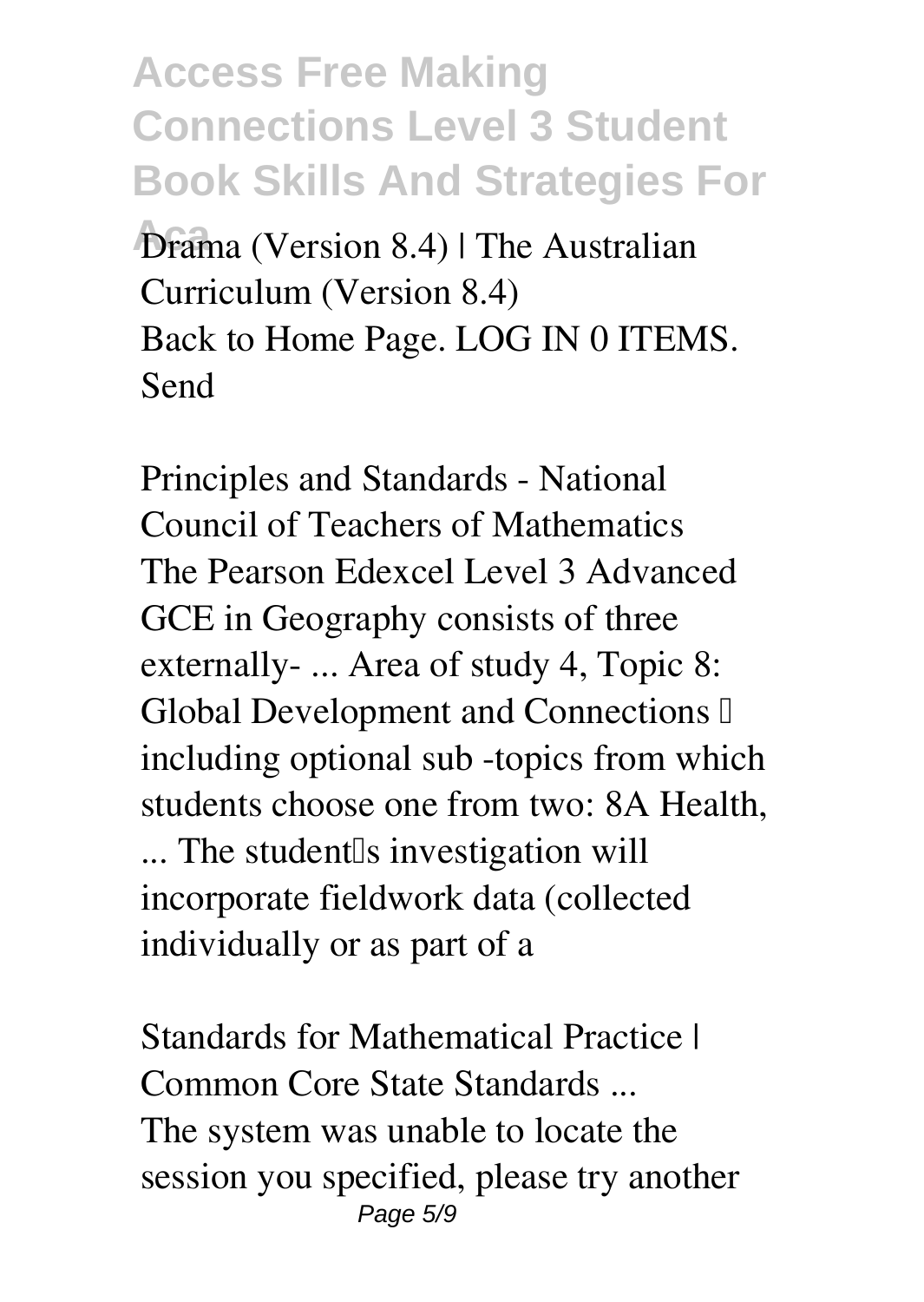**Access Free Making Connections Level 3 Student Book Skills And Strategies For**

**Aca Drama (Version 8.4) | The Australian Curriculum (Version 8.4)** Back to Home Page. LOG IN 0 ITEMS. Send

**Principles and Standards - National Council of Teachers of Mathematics** The Pearson Edexcel Level 3 Advanced GCE in Geography consists of three externally- ... Area of study 4, Topic 8: Global Development and Connections  $\mathbb I$ including optional sub -topics from which students choose one from two: 8A Health, ... The student<sup>[</sup>s investigation will incorporate fieldwork data (collected individually or as part of a

**Standards for Mathematical Practice | Common Core State Standards ...** The system was unable to locate the session you specified, please try another Page 5/9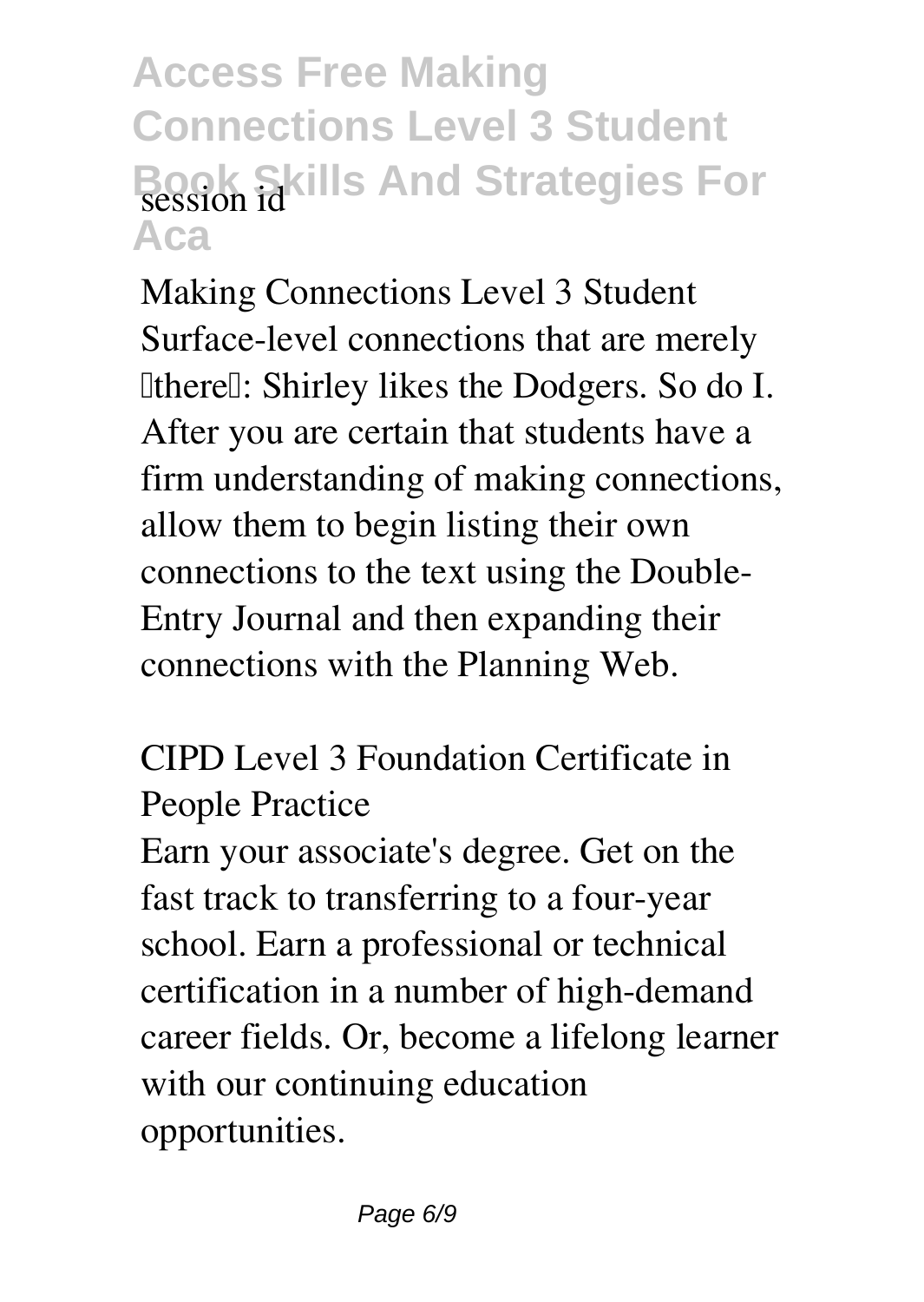## **Access Free Making Connections Level 3 Student Book Skills And Strategies For** session id **Aca**

**Making Connections Level 3 Student** Surface-level connections that are merely **IthereI: Shirley likes the Dodgers. So do I.** After you are certain that students have a firm understanding of making connections, allow them to begin listing their own connections to the text using the Double-Entry Journal and then expanding their connections with the Planning Web.

**CIPD Level 3 Foundation Certificate in People Practice**

Earn your associate's degree. Get on the fast track to transferring to a four-year school. Earn a professional or technical certification in a number of high-demand career fields. Or, become a lifelong learner with our continuing education opportunities.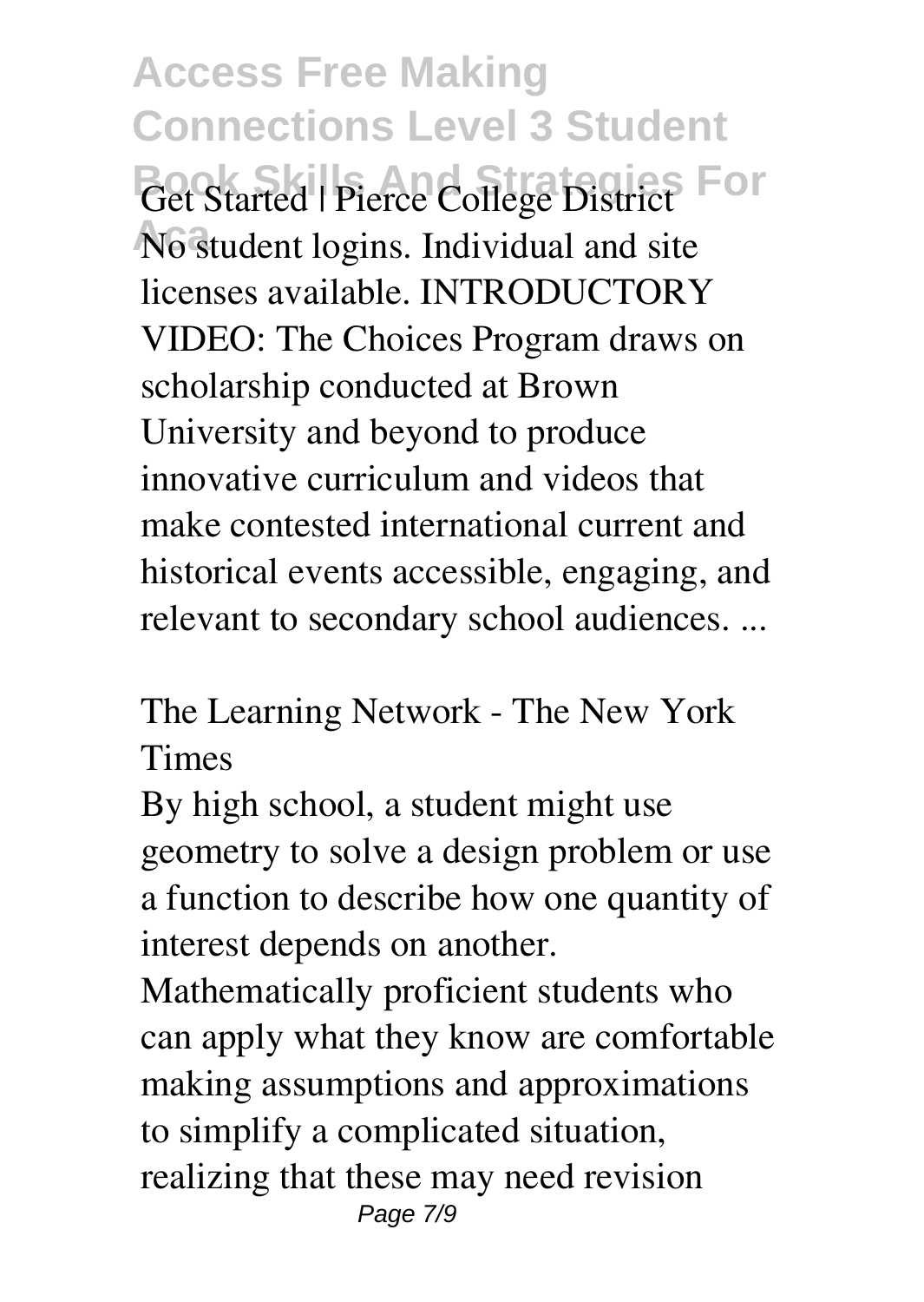**Access Free Making Connections Level 3 Student Get Started | Pierce College District For** No student logins. Individual and site licenses available. INTRODUCTORY VIDEO: The Choices Program draws on scholarship conducted at Brown University and beyond to produce innovative curriculum and videos that make contested international current and historical events accessible, engaging, and relevant to secondary school audiences. ...

**The Learning Network - The New York Times**

By high school, a student might use geometry to solve a design problem or use a function to describe how one quantity of interest depends on another.

Mathematically proficient students who can apply what they know are comfortable making assumptions and approximations to simplify a complicated situation, realizing that these may need revision Page 7/9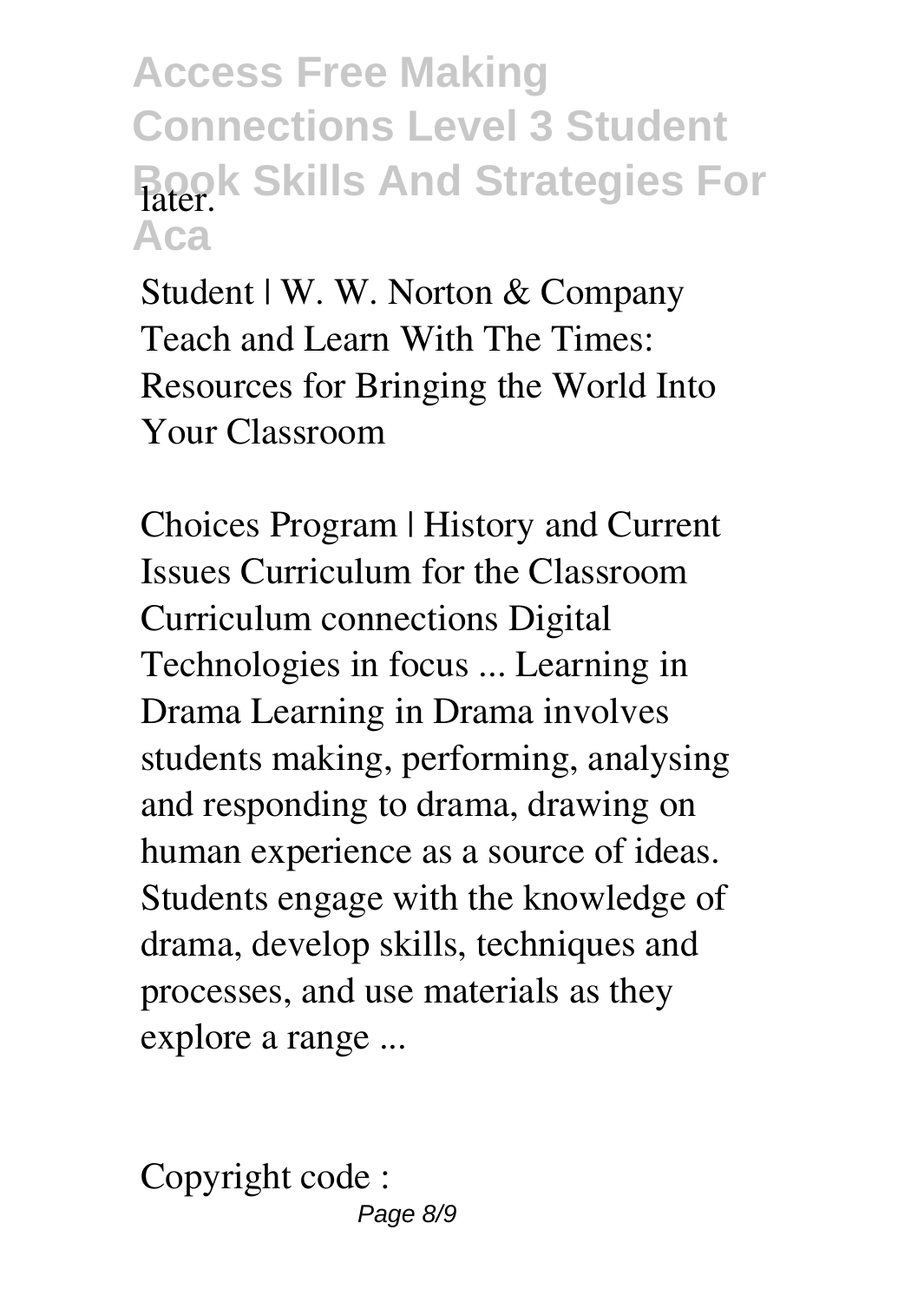## **Access Free Making Connections Level 3 Student Book Skills And Strategies For** later. **Aca**

**Student | W. W. Norton & Company** Teach and Learn With The Times: Resources for Bringing the World Into Your Classroom

**Choices Program | History and Current Issues Curriculum for the Classroom** Curriculum connections Digital Technologies in focus ... Learning in Drama Learning in Drama involves students making, performing, analysing and responding to drama, drawing on human experience as a source of ideas. Students engage with the knowledge of drama, develop skills, techniques and processes, and use materials as they explore a range ...